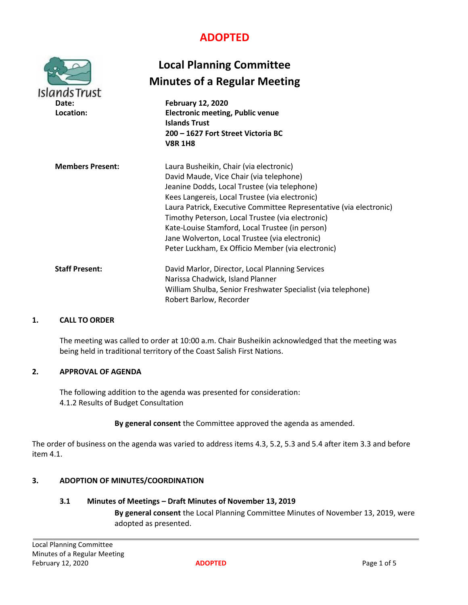# **ADOPTED**

| <b>IslandsTrust</b><br>Date:<br>Location: | <b>Local Planning Committee</b><br><b>Minutes of a Regular Meeting</b><br><b>February 12, 2020</b><br><b>Electronic meeting, Public venue</b><br><b>Islands Trust</b><br>200 – 1627 Fort Street Victoria BC<br><b>V8R 1H8</b>                                                                                                                                                                                                                                            |
|-------------------------------------------|--------------------------------------------------------------------------------------------------------------------------------------------------------------------------------------------------------------------------------------------------------------------------------------------------------------------------------------------------------------------------------------------------------------------------------------------------------------------------|
| <b>Members Present:</b>                   | Laura Busheikin, Chair (via electronic)<br>David Maude, Vice Chair (via telephone)<br>Jeanine Dodds, Local Trustee (via telephone)<br>Kees Langereis, Local Trustee (via electronic)<br>Laura Patrick, Executive Committee Representative (via electronic)<br>Timothy Peterson, Local Trustee (via electronic)<br>Kate-Louise Stamford, Local Trustee (in person)<br>Jane Wolverton, Local Trustee (via electronic)<br>Peter Luckham, Ex Officio Member (via electronic) |
| <b>Staff Present:</b>                     | David Marlor, Director, Local Planning Services<br>Narissa Chadwick, Island Planner<br>William Shulba, Senior Freshwater Specialist (via telephone)<br>Robert Barlow, Recorder                                                                                                                                                                                                                                                                                           |

## **1. CALL TO ORDER**

The meeting was called to order at 10:00 a.m. Chair Busheikin acknowledged that the meeting was being held in traditional territory of the Coast Salish First Nations.

## **2. APPROVAL OF AGENDA**

The following addition to the agenda was presented for consideration: 4.1.2 Results of Budget Consultation

## **By general consent** the Committee approved the agenda as amended.

The order of business on the agenda was varied to address items 4.3, 5.2, 5.3 and 5.4 after item 3.3 and before item 4.1.

## **3. ADOPTION OF MINUTES/COORDINATION**

# **3.1 Minutes of Meetings – Draft Minutes of November 13, 2019**

**By general consent** the Local Planning Committee Minutes of November 13, 2019, were adopted as presented.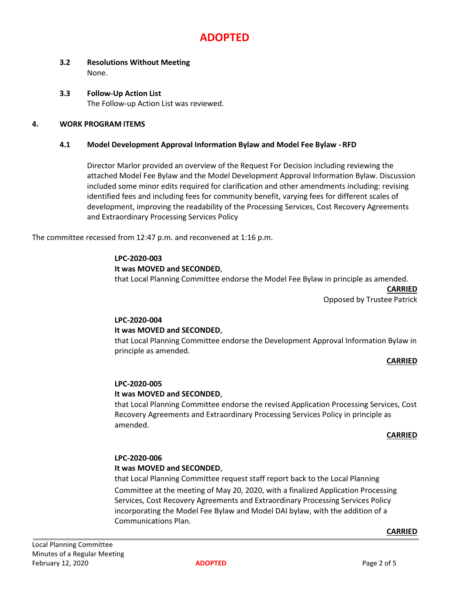# **ADOPTED**

# **3.2 Resolutions Without Meeting** None.

**3.3 Follow-Up Action List** The Follow-up Action List was reviewed.

## **4. WORK PROGRAM ITEMS**

## **4.1 Model Development Approval Information Bylaw and Model Fee Bylaw - RFD**

Director Marlor provided an overview of the Request For Decision including reviewing the attached Model Fee Bylaw and the Model Development Approval Information Bylaw. Discussion included some minor edits required for clarification and other amendments including: revising identified fees and including fees for community benefit, varying fees for different scales of development, improving the readability of the Processing Services, Cost Recovery Agreements and Extraordinary Processing Services Policy

The committee recessed from 12:47 p.m. and reconvened at 1:16 p.m.

## **LPC-2020-003**

## **It was MOVED and SECONDED**,

that Local Planning Committee endorse the Model Fee Bylaw in principle as amended.

**CARRIED** Opposed by Trustee Patrick

# **LPC-2020-004**

## **It was MOVED and SECONDED**,

that Local Planning Committee endorse the Development Approval Information Bylaw in principle as amended.

## **CARRIED**

## **LPC-2020-005**

## **It was MOVED and SECONDED**,

that Local Planning Committee endorse the revised Application Processing Services, Cost Recovery Agreements and Extraordinary Processing Services Policy in principle as amended.

## **CARRIED**

## **LPC-2020-006**

## **It was MOVED and SECONDED**,

that Local Planning Committee request staff report back to the Local Planning Committee at the meeting of May 20, 2020, with a finalized Application Processing Services, Cost Recovery Agreements and Extraordinary Processing Services Policy incorporating the Model Fee Bylaw and Model DAI bylaw, with the addition of a Communications Plan.

#### **CARRIED**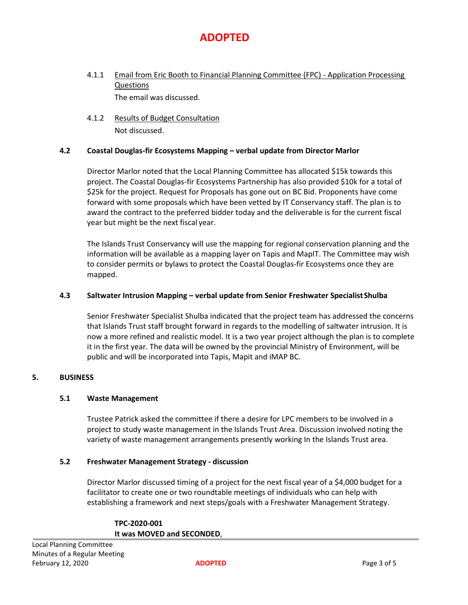

- 4.1.1 Email from Eric Booth to Financial Planning Committee (FPC) Application Processing Questions The email was discussed.
- 4.1.2 Results of Budget Consultation Not discussed.

## **4.2 Coastal Douglas-fir Ecosystems Mapping – verbal update from Director Marlor**

Director Marlor noted that the Local Planning Committee has allocated \$15k towards this project. The Coastal Douglas-fir Ecosystems Partnership has also provided \$10k for a total of \$25k for the project. Request for Proposals has gone out on BC Bid. Proponents have come forward with some proposals which have been vetted by IT Conservancy staff. The plan is to award the contract to the preferred bidder today and the deliverable is for the current fiscal year but might be the next fiscal year.

The Islands Trust Conservancy will use the mapping for regional conservation planning and the information will be available as a mapping layer on Tapis and MapIT. The Committee may wish to consider permits or bylaws to protect the Coastal Douglas-fir Ecosystems once they are mapped.

## **4.3 Saltwater Intrusion Mapping – verbal update from Senior Freshwater SpecialistShulba**

Senior Freshwater Specialist Shulba indicated that the project team has addressed the concerns that Islands Trust staff brought forward in regards to the modelling of saltwater intrusion. It is now a more refined and realistic model. It is a two year project although the plan is to complete it in the first year. The data will be owned by the provincial Ministry of Environment, will be public and will be incorporated into Tapis, Mapit and iMAP BC.

## **5. BUSINESS**

## **5.1 Waste Management**

Trustee Patrick asked the committee if there a desire for LPC members to be involved in a project to study waste management in the Islands Trust Area. Discussion involved noting the variety of waste management arrangements presently working In the Islands Trust area.

## **5.2 Freshwater Management Strategy - discussion**

Director Marlor discussed timing of a project for the next fiscal year of a \$4,000 budget for a facilitator to create one or two roundtable meetings of individuals who can help with establishing a framework and next steps/goals with a Freshwater Management Strategy.

| TPC-2020-001               |  |
|----------------------------|--|
| It was MOVED and SECONDED, |  |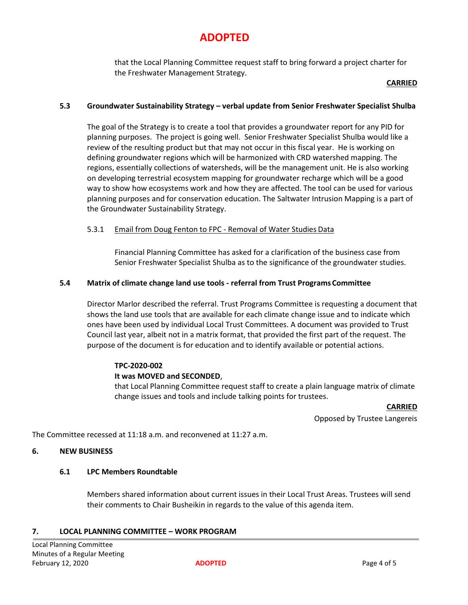# **ADOPTED**

that the Local Planning Committee request staff to bring forward a project charter for the Freshwater Management Strategy.

## **CARRIED**

## **5.3 Groundwater Sustainability Strategy – verbal update from Senior Freshwater Specialist Shulba**

The goal of the Strategy is to create a tool that provides a groundwater report for any PID for planning purposes. The project is going well. Senior Freshwater Specialist Shulba would like a review of the resulting product but that may not occur in this fiscal year. He is working on defining groundwater regions which will be harmonized with CRD watershed mapping. The regions, essentially collections of watersheds, will be the management unit. He is also working on developing terrestrial ecosystem mapping for groundwater recharge which will be a good way to show how ecosystems work and how they are affected. The tool can be used for various planning purposes and for conservation education. The Saltwater Intrusion Mapping is a part of the Groundwater Sustainability Strategy.

## 5.3.1 Email from Doug Fenton to FPC - Removal of Water Studies Data

Financial Planning Committee has asked for a clarification of the business case from Senior Freshwater Specialist Shulba as to the significance of the groundwater studies.

#### **5.4 Matrix of climate change land use tools - referral from Trust ProgramsCommittee**

Director Marlor described the referral. Trust Programs Committee is requesting a document that shows the land use tools that are available for each climate change issue and to indicate which ones have been used by individual Local Trust Committees. A document was provided to Trust Council last year, albeit not in a matrix format, that provided the first part of the request. The purpose of the document is for education and to identify available or potential actions.

## **TPC-2020-002**

## **It was MOVED and SECONDED**,

that Local Planning Committee request staff to create a plain language matrix of climate change issues and tools and include talking points for trustees.

#### **CARRIED**

Opposed by Trustee Langereis

The Committee recessed at 11:18 a.m. and reconvened at 11:27 a.m.

#### **6. NEW BUSINESS**

#### **6.1 LPC Members Roundtable**

Members shared information about current issues in their Local Trust Areas. Trustees will send their comments to Chair Busheikin in regards to the value of this agenda item.

## **7. LOCAL PLANNING COMMITTEE – WORK PROGRAM**